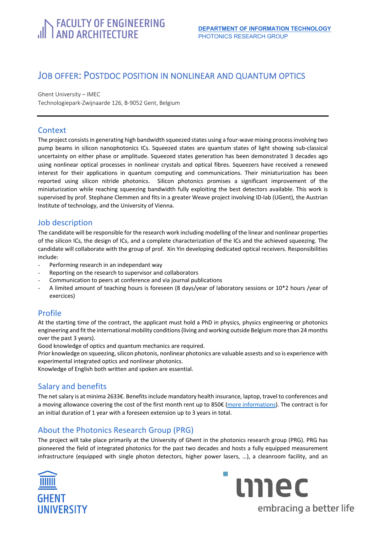# **FACULTY OF ENGINEERING**<br>LAND ARCHITECTURE

# JOB OFFER: POSTDOC POSITION IN NONLINEAR AND QUANTUM OPTICS

Ghent University – IMEC Technologiepark-Zwijnaarde 126, B-9052 Gent, Belgium

#### **Context**

The project consists in generating high bandwidth squeezed states using a four-wave mixing process involving two pump beams in silicon nanophotonics ICs. Squeezed states are quantum states of light showing sub-classical uncertainty on either phase or amplitude. Squeezed states generation has been demonstrated 3 decades ago using nonlinear optical processes in nonlinear crystals and optical fibres. Squeezers have received a renewed interest for their applications in quantum computing and communications. Their miniaturization has been reported using silicon nitride photonics. Silicon photonics promises a significant improvement of the miniaturization while reaching squeezing bandwidth fully exploiting the best detectors available. This work is supervised by prof. Stephane Clemmen and fits in a greater Weave project involving ID-lab (UGent), the Austrian Institute of technology, and the University of Vienna.

#### Job description

The candidate will be responsible for the research work including modelling of the linear and nonlinear properties of the silicon ICs, the design of ICs, and a complete characterization of the ICs and the achieved squeezing. The candidate will collaborate with the group of prof. Xin Yin developing dedicated optical receivers. Responsibilities include:

- Performing research in an independant way
- Reporting on the research to supervisor and collaborators
- Communication to peers at conference and via journal publications
- A limited amount of teaching hours is foreseen (8 days/year of laboratory sessions or 10\*2 hours /year of exercices)

## Profile

At the starting time of the contract, the applicant must hold a PhD in physics, physics engineering or photonics engineering and fit the international mobility conditions(living and working outside Belgium more than 24 months over the past 3 years).

Good knowledge of optics and quantum mechanics are required.

Prior knowledge on squeezing, silicon photonis, nonlinear photonics are valuable assests and so is experience with experimental integrated optics and nonlinear photonics.

Knowledge of English both written and spoken are essential.

## Salary and benefits

The net salary is at minima 2633€. Benefits include mandatory health insurance, laptop, travel to conferences and a moving allowance covering the cost of the first month rent up to 850€ (more informations). The contract is for an initial duration of 1 year with a foreseen extension up to 3 years in total.

## About the Photonics Research Group (PRG)

The project will take place primarily at the University of Ghent in the photonics research group (PRG). PRG has pioneered the field of integrated photonics for the past two decades and hosts a fully equipped measurement infrastructure (equipped with single photon detectors, higher power lasers, …), a cleanroom facility, and an